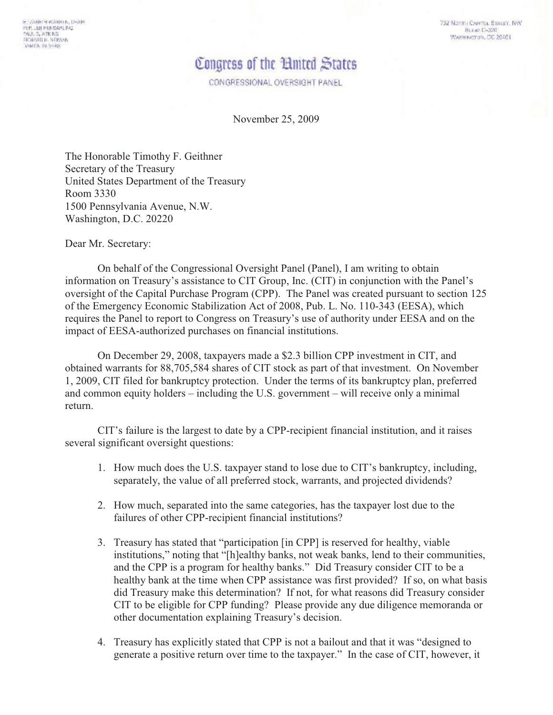732 Norma Cvevros, Stream, NW **Burnet C-320** WASHINGTON, DC 20401

## Congress of the 'Hnited States'

CONGRESSIONAL OVERSIGHT PANEL

November 25, 2009

The Honorable Timothy F. Geithner Secretary of the Treasury United States Department of the Treasury Room 3330 1500 Pennsylvania Avenue, N.W. Washington, D.C. 20220

Dear Mr. Secretary:

On behalf of the Congressional Oversight Panel (Panel), I am writing to obtain information on Treasury's assistance to CIT Group, Inc. (CIT) in conjunction with the Panel's oversight of the Capital Purchase Program (CPP). The Panel was created pursuant to section 125 of the Emergency Economic Stabilization Act of 2008, Pub. L. No. 110-343 (EESA), which requires the Panel to report to Congress on Treasury's use of authority under EESA and on the impact of EESA-authorized purchases on financial institutions.

On December 29, 2008, taxpayers made a \$2.3 billion CPP investment in CIT, and obtained warrants for 88,705,584 shares of CIT stock as part of that investment. On November 1, 2009, CIT filed for bankruptcy protection. Under the terms of its bankruptcy plan, preferred and common equity holders  $-$  including the U.S. government  $-$  will receive only a minimal return

CIT's failure is the largest to date by a CPP-recipient financial institution, and it raises several significant oversight questions:

- 1. How much does the U.S. taxpayer stand to lose due to CIT's bankruptcy, including, separately, the value of all preferred stock, warrants, and projected dividends?
- 2. How much, separated into the same categories, has the taxpayer lost due to the failures of other CPP-recipient financial institutions?
- 3. Treasury has stated that "participation [in CPP] is reserved for healthy, viable institutions," noting that "[h]ealthy banks, not weak banks, lend to their communities, and the CPP is a program for healthy banks." Did Treasury consider CIT to be a healthy bank at the time when CPP assistance was first provided? If so, on what basis did Treasury make this determination? If not, for what reasons did Treasury consider CIT to be eligible for CPP funding? Please provide any due diligence memoranda or other documentation explaining Treasury's decision.
- 4. Treasury has explicitly stated that CPP is not a bailout and that it was "designed to generate a positive return over time to the taxpayer." In the case of CIT, however, it